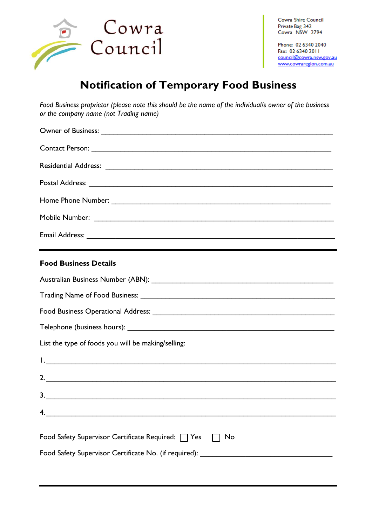

Cowra Shire Council Private Bag 342 Cowra NSW 2794

Phone: 02 6340 2040 Fax: 02 6340 2011 council@cowra.nsw.gov.au www.cowraregion.com.au

## **Notification of Temporary Food Business**

*Food Business proprietor (please note this should be the name of the individual/s owner of the business or the company name (not Trading name)*

|                                                                                                                       |  |  | <b>Food Business Details</b> |
|-----------------------------------------------------------------------------------------------------------------------|--|--|------------------------------|
|                                                                                                                       |  |  |                              |
|                                                                                                                       |  |  |                              |
|                                                                                                                       |  |  |                              |
|                                                                                                                       |  |  |                              |
| List the type of foods you will be making/selling:                                                                    |  |  |                              |
|                                                                                                                       |  |  |                              |
|                                                                                                                       |  |  |                              |
|                                                                                                                       |  |  |                              |
| <u> 1980 - Jan James James, martin amerikan basar dan berasal dalam basa dalam basar dalam basar dalam basar dala</u> |  |  |                              |
| Food Safety Supervisor Certificate Required: □ Yes<br>No                                                              |  |  |                              |
| Food Safety Supervisor Certificate No. (if required): ___________________________                                     |  |  |                              |